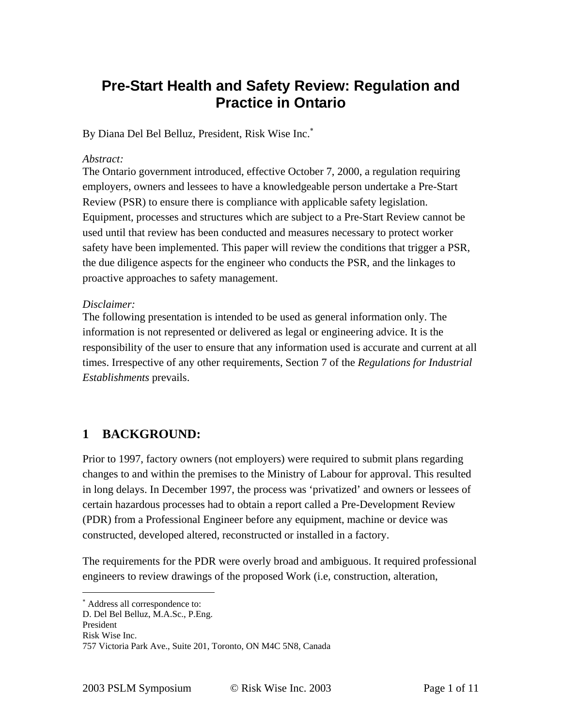# **Pre-Start Health and Safety Review: Regulation and Practice in Ontario**

By Diana Del Bel Belluz, President, Risk Wise Inc.<sup>∗</sup>

#### *Abstract:*

The Ontario government introduced, effective October 7, 2000, a regulation requiring employers, owners and lessees to have a knowledgeable person undertake a Pre-Start Review (PSR) to ensure there is compliance with applicable safety legislation. Equipment, processes and structures which are subject to a Pre-Start Review cannot be used until that review has been conducted and measures necessary to protect worker safety have been implemented. This paper will review the conditions that trigger a PSR, the due diligence aspects for the engineer who conducts the PSR, and the linkages to proactive approaches to safety management.

#### *Disclaimer:*

The following presentation is intended to be used as general information only. The information is not represented or delivered as legal or engineering advice. It is the responsibility of the user to ensure that any information used is accurate and current at all times. Irrespective of any other requirements, Section 7 of the *Regulations for Industrial Establishments* prevails.

### **1 BACKGROUND:**

Prior to 1997, factory owners (not employers) were required to submit plans regarding changes to and within the premises to the Ministry of Labour for approval. This resulted in long delays. In December 1997, the process was 'privatized' and owners or lessees of certain hazardous processes had to obtain a report called a Pre-Development Review (PDR) from a Professional Engineer before any equipment, machine or device was constructed, developed altered, reconstructed or installed in a factory.

The requirements for the PDR were overly broad and ambiguous. It required professional engineers to review drawings of the proposed Work (i.e, construction, alteration,

 $\overline{a}$ 

<sup>∗</sup> Address all correspondence to:

D. Del Bel Belluz, M.A.Sc., P.Eng.

President

Risk Wise Inc.

<sup>757</sup> Victoria Park Ave., Suite 201, Toronto, ON M4C 5N8, Canada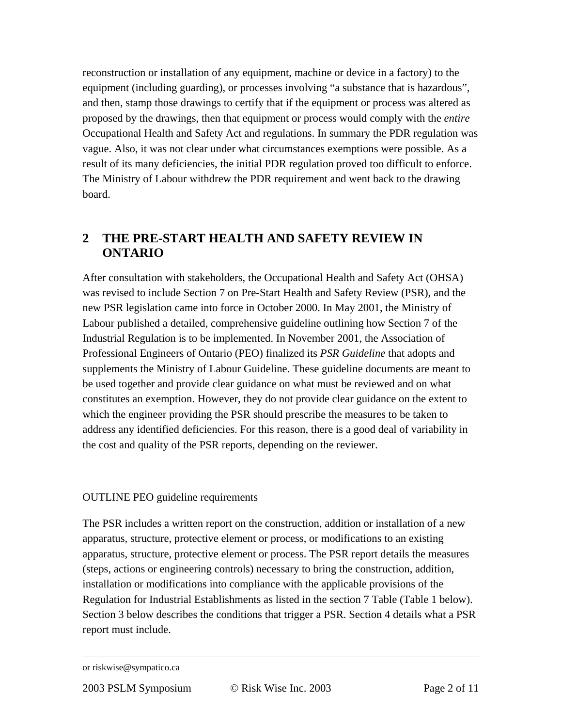reconstruction or installation of any equipment, machine or device in a factory) to the equipment (including guarding), or processes involving "a substance that is hazardous", and then, stamp those drawings to certify that if the equipment or process was altered as proposed by the drawings, then that equipment or process would comply with the *entire* Occupational Health and Safety Act and regulations. In summary the PDR regulation was vague. Also, it was not clear under what circumstances exemptions were possible. As a result of its many deficiencies, the initial PDR regulation proved too difficult to enforce. The Ministry of Labour withdrew the PDR requirement and went back to the drawing board.

### **2 THE PRE-START HEALTH AND SAFETY REVIEW IN ONTARIO**

After consultation with stakeholders, the Occupational Health and Safety Act (OHSA) was revised to include Section 7 on Pre-Start Health and Safety Review (PSR), and the new PSR legislation came into force in October 2000. In May 2001, the Ministry of Labour published a detailed, comprehensive guideline outlining how Section 7 of the Industrial Regulation is to be implemented. In November 2001, the Association of Professional Engineers of Ontario (PEO) finalized its *PSR Guideline* that adopts and supplements the Ministry of Labour Guideline. These guideline documents are meant to be used together and provide clear guidance on what must be reviewed and on what constitutes an exemption. However, they do not provide clear guidance on the extent to which the engineer providing the PSR should prescribe the measures to be taken to address any identified deficiencies. For this reason, there is a good deal of variability in the cost and quality of the PSR reports, depending on the reviewer.

#### OUTLINE PEO guideline requirements

The PSR includes a written report on the construction, addition or installation of a new apparatus, structure, protective element or process, or modifications to an existing apparatus, structure, protective element or process. The PSR report details the measures (steps, actions or engineering controls) necessary to bring the construction, addition, installation or modifications into compliance with the applicable provisions of the Regulation for Industrial Establishments as listed in the section 7 Table (Table 1 below). Section 3 below describes the conditions that trigger a PSR. Section 4 details what a PSR report must include.

or riskwise@sympatico.ca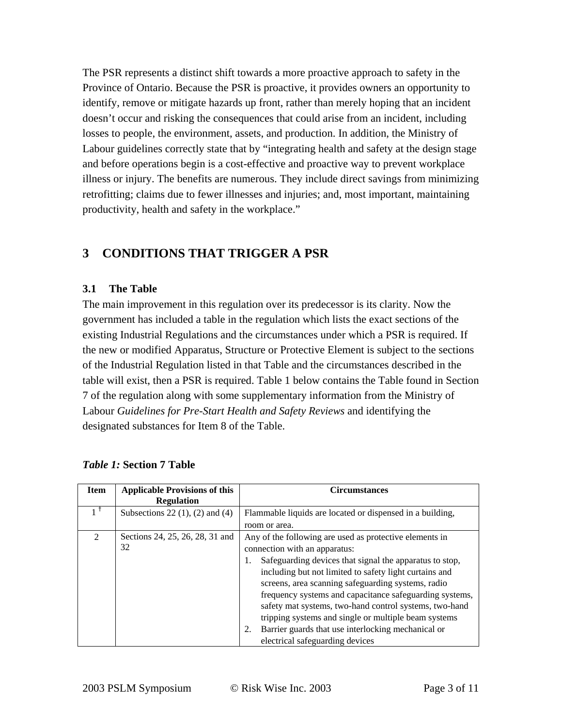The PSR represents a distinct shift towards a more proactive approach to safety in the Province of Ontario. Because the PSR is proactive, it provides owners an opportunity to identify, remove or mitigate hazards up front, rather than merely hoping that an incident doesn't occur and risking the consequences that could arise from an incident, including losses to people, the environment, assets, and production. In addition, the Ministry of Labour guidelines correctly state that by "integrating health and safety at the design stage and before operations begin is a cost-effective and proactive way to prevent workplace illness or injury. The benefits are numerous. They include direct savings from minimizing retrofitting; claims due to fewer illnesses and injuries; and, most important, maintaining productivity, health and safety in the workplace."

## **3 CONDITIONS THAT TRIGGER A PSR**

#### **3.1 The Table**

The main improvement in this regulation over its predecessor is its clarity. Now the government has included a table in the regulation which lists the exact sections of the existing Industrial Regulations and the circumstances under which a PSR is required. If the new or modified Apparatus, Structure or Protective Element is subject to the sections of the Industrial Regulation listed in that Table and the circumstances described in the table will exist, then a PSR is required. Table 1 below contains the Table found in Section 7 of the regulation along with some supplementary information from the Ministry of Labour *Guidelines for Pre-Start Health and Safety Reviews* and identifying the designated substances for Item 8 of the Table.

| <b>Item</b>    | <b>Applicable Provisions of this</b><br><b>Regulation</b> | <b>Circumstances</b>                                          |
|----------------|-----------------------------------------------------------|---------------------------------------------------------------|
|                | Subsections 22 $(1)$ , $(2)$ and $(4)$                    | Flammable liquids are located or dispensed in a building,     |
|                |                                                           | room or area.                                                 |
| $\mathfrak{D}$ | Sections 24, 25, 26, 28, 31 and                           | Any of the following are used as protective elements in       |
|                | 32                                                        | connection with an apparatus:                                 |
|                |                                                           | Safeguarding devices that signal the apparatus to stop,<br>1. |
|                |                                                           | including but not limited to safety light curtains and        |
|                |                                                           | screens, area scanning safeguarding systems, radio            |
|                |                                                           | frequency systems and capacitance safeguarding systems,       |
|                |                                                           | safety mat systems, two-hand control systems, two-hand        |
|                |                                                           | tripping systems and single or multiple beam systems          |
|                |                                                           | Barrier guards that use interlocking mechanical or<br>2.      |
|                |                                                           | electrical safeguarding devices                               |

#### *Table 1:* **Section 7 Table**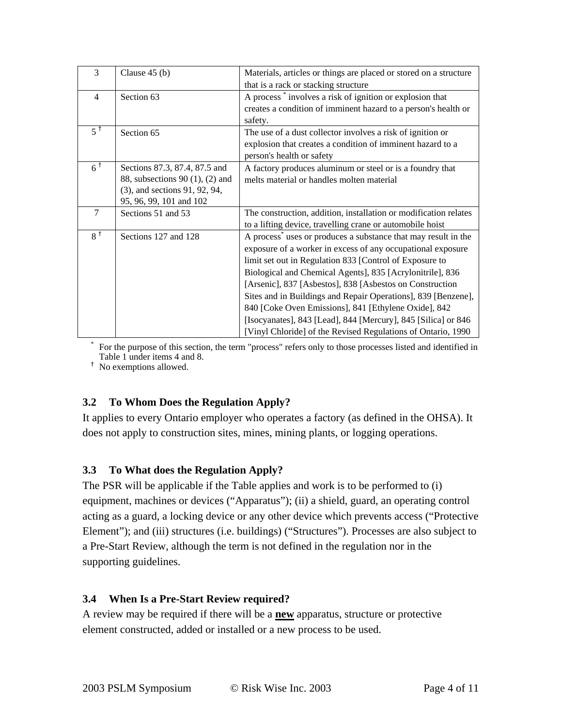| $\overline{3}$    | Clause $45(b)$                  | Materials, articles or things are placed or stored on a structure          |
|-------------------|---------------------------------|----------------------------------------------------------------------------|
|                   |                                 | that is a rack or stacking structure                                       |
| $\overline{4}$    | Section 63                      | A process involves a risk of ignition or explosion that                    |
|                   |                                 | creates a condition of imminent hazard to a person's health or             |
|                   |                                 | safety.                                                                    |
| $5^{\dagger}$     | Section 65                      | The use of a dust collector involves a risk of ignition or                 |
|                   |                                 | explosion that creates a condition of imminent hazard to a                 |
|                   |                                 | person's health or safety                                                  |
| $6^{\frac{1}{1}}$ | Sections 87.3, 87.4, 87.5 and   | A factory produces aluminum or steel or is a foundry that                  |
|                   | 88, subsections 90 (1), (2) and | melts material or handles molten material                                  |
|                   | (3), and sections 91, 92, 94,   |                                                                            |
|                   | 95, 96, 99, 101 and 102         |                                                                            |
| $\tau$            | Sections 51 and 53              | The construction, addition, installation or modification relates           |
|                   |                                 | to a lifting device, travelling crane or automobile hoist                  |
| $8^{\dagger}$     | Sections 127 and 128            | A process <sup>*</sup> uses or produces a substance that may result in the |
|                   |                                 | exposure of a worker in excess of any occupational exposure                |
|                   |                                 | limit set out in Regulation 833 [Control of Exposure to                    |
|                   |                                 | Biological and Chemical Agents], 835 [Acrylonitrile], 836                  |
|                   |                                 | [Arsenic], 837 [Asbestos], 838 [Asbestos on Construction                   |
|                   |                                 | Sites and in Buildings and Repair Operations], 839 [Benzene],              |
|                   |                                 | 840 [Coke Oven Emissions], 841 [Ethylene Oxide], 842                       |
|                   |                                 | [Isocyanates], 843 [Lead], 844 [Mercury], 845 [Silica] or 846              |
|                   |                                 | [Vinyl Chloride] of the Revised Regulations of Ontario, 1990               |

 For the purpose of this section, the term "process" refers only to those processes listed and identified in Table 1 under items 4 and 8.

<sup>†</sup> No exemptions allowed.

\*

### **3.2 To Whom Does the Regulation Apply?**

It applies to every Ontario employer who operates a factory (as defined in the OHSA). It does not apply to construction sites, mines, mining plants, or logging operations.

### **3.3 To What does the Regulation Apply?**

The PSR will be applicable if the Table applies and work is to be performed to (i) equipment, machines or devices ("Apparatus"); (ii) a shield, guard, an operating control acting as a guard, a locking device or any other device which prevents access ("Protective Element"); and (iii) structures (i.e. buildings) ("Structures"). Processes are also subject to a Pre-Start Review, although the term is not defined in the regulation nor in the supporting guidelines.

#### **3.4 When Is a Pre-Start Review required?**

A review may be required if there will be a **new** apparatus, structure or protective element constructed, added or installed or a new process to be used.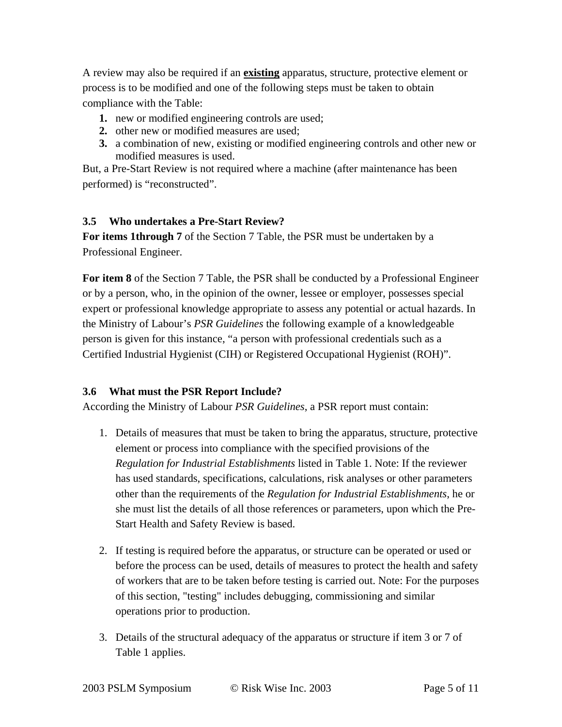A review may also be required if an **existing** apparatus, structure, protective element or process is to be modified and one of the following steps must be taken to obtain compliance with the Table:

- **1.** new or modified engineering controls are used;
- **2.** other new or modified measures are used;
- **3.** a combination of new, existing or modified engineering controls and other new or modified measures is used.

But, a Pre-Start Review is not required where a machine (after maintenance has been performed) is "reconstructed".

#### **3.5 Who undertakes a Pre-Start Review?**

**For items 1through 7** of the Section 7 Table, the PSR must be undertaken by a Professional Engineer.

**For item 8** of the Section 7 Table, the PSR shall be conducted by a Professional Engineer or by a person, who, in the opinion of the owner, lessee or employer, possesses special expert or professional knowledge appropriate to assess any potential or actual hazards. In the Ministry of Labour's *PSR Guidelines* the following example of a knowledgeable person is given for this instance, "a person with professional credentials such as a Certified Industrial Hygienist (CIH) or Registered Occupational Hygienist (ROH)".

### **3.6 What must the PSR Report Include?**

According the Ministry of Labour *PSR Guidelines*, a PSR report must contain:

- 1. Details of measures that must be taken to bring the apparatus, structure, protective element or process into compliance with the specified provisions of the *Regulation for Industrial Establishments* listed in Table 1. Note: If the reviewer has used standards, specifications, calculations, risk analyses or other parameters other than the requirements of the *Regulation for Industrial Establishments*, he or she must list the details of all those references or parameters, upon which the Pre-Start Health and Safety Review is based.
- 2. If testing is required before the apparatus, or structure can be operated or used or before the process can be used, details of measures to protect the health and safety of workers that are to be taken before testing is carried out. Note: For the purposes of this section, "testing" includes debugging, commissioning and similar operations prior to production.
- 3. Details of the structural adequacy of the apparatus or structure if item 3 or 7 of Table 1 applies.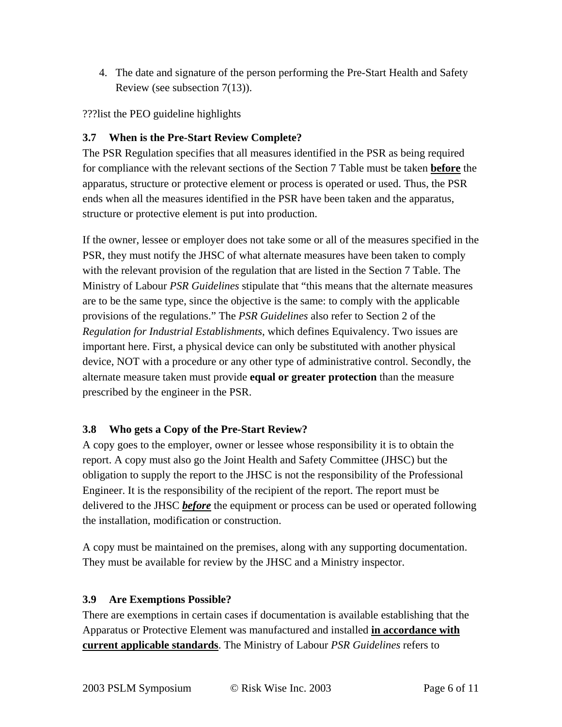4. The date and signature of the person performing the Pre-Start Health and Safety Review (see subsection 7(13)).

???list the PEO guideline highlights

### **3.7 When is the Pre-Start Review Complete?**

The PSR Regulation specifies that all measures identified in the PSR as being required for compliance with the relevant sections of the Section 7 Table must be taken **before** the apparatus, structure or protective element or process is operated or used. Thus, the PSR ends when all the measures identified in the PSR have been taken and the apparatus, structure or protective element is put into production.

If the owner, lessee or employer does not take some or all of the measures specified in the PSR, they must notify the JHSC of what alternate measures have been taken to comply with the relevant provision of the regulation that are listed in the Section 7 Table. The Ministry of Labour *PSR Guidelines* stipulate that "this means that the alternate measures are to be the same type, since the objective is the same: to comply with the applicable provisions of the regulations." The *PSR Guidelines* also refer to Section 2 of the *Regulation for Industrial Establishments*, which defines Equivalency. Two issues are important here. First, a physical device can only be substituted with another physical device, NOT with a procedure or any other type of administrative control. Secondly, the alternate measure taken must provide **equal or greater protection** than the measure prescribed by the engineer in the PSR.

### **3.8 Who gets a Copy of the Pre-Start Review?**

A copy goes to the employer, owner or lessee whose responsibility it is to obtain the report. A copy must also go the Joint Health and Safety Committee (JHSC) but the obligation to supply the report to the JHSC is not the responsibility of the Professional Engineer. It is the responsibility of the recipient of the report. The report must be delivered to the JHSC *before* the equipment or process can be used or operated following the installation, modification or construction.

A copy must be maintained on the premises, along with any supporting documentation. They must be available for review by the JHSC and a Ministry inspector.

### **3.9 Are Exemptions Possible?**

There are exemptions in certain cases if documentation is available establishing that the Apparatus or Protective Element was manufactured and installed **in accordance with current applicable standards**. The Ministry of Labour *PSR Guidelines* refers to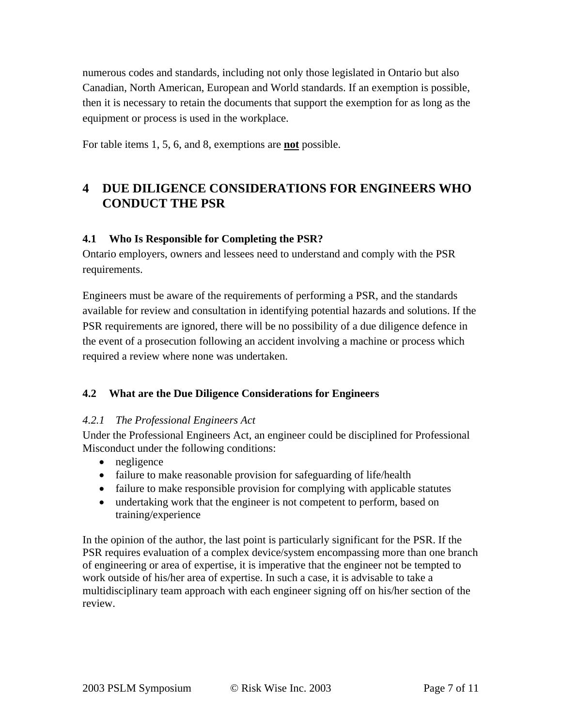numerous codes and standards, including not only those legislated in Ontario but also Canadian, North American, European and World standards. If an exemption is possible, then it is necessary to retain the documents that support the exemption for as long as the equipment or process is used in the workplace.

For table items 1, 5, 6, and 8, exemptions are **not** possible.

### **4 DUE DILIGENCE CONSIDERATIONS FOR ENGINEERS WHO CONDUCT THE PSR**

#### **4.1 Who Is Responsible for Completing the PSR?**

Ontario employers, owners and lessees need to understand and comply with the PSR requirements.

Engineers must be aware of the requirements of performing a PSR, and the standards available for review and consultation in identifying potential hazards and solutions. If the PSR requirements are ignored, there will be no possibility of a due diligence defence in the event of a prosecution following an accident involving a machine or process which required a review where none was undertaken.

### **4.2 What are the Due Diligence Considerations for Engineers**

#### *4.2.1 The Professional Engineers Act*

Under the Professional Engineers Act, an engineer could be disciplined for Professional Misconduct under the following conditions:

- negligence
- failure to make reasonable provision for safeguarding of life/health
- failure to make responsible provision for complying with applicable statutes
- undertaking work that the engineer is not competent to perform, based on training/experience

In the opinion of the author, the last point is particularly significant for the PSR. If the PSR requires evaluation of a complex device/system encompassing more than one branch of engineering or area of expertise, it is imperative that the engineer not be tempted to work outside of his/her area of expertise. In such a case, it is advisable to take a multidisciplinary team approach with each engineer signing off on his/her section of the review.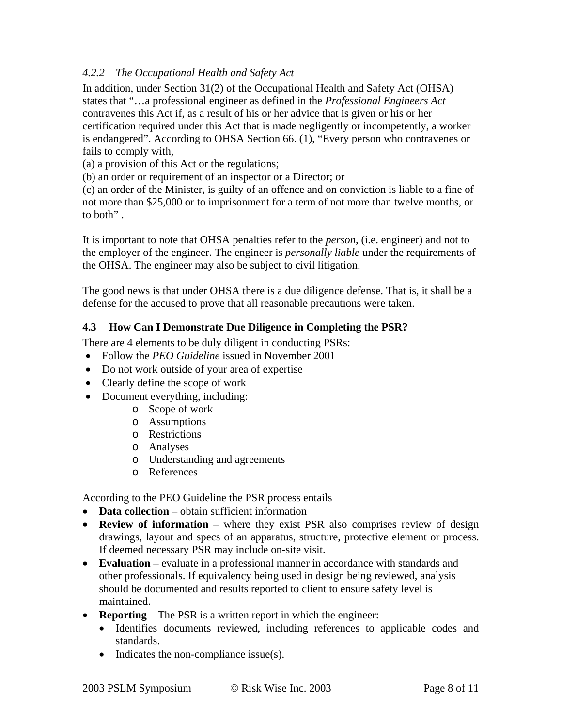#### *4.2.2 The Occupational Health and Safety Act*

In addition, under Section 31(2) of the Occupational Health and Safety Act (OHSA) states that "…a professional engineer as defined in the *Professional Engineers Act* contravenes this Act if, as a result of his or her advice that is given or his or her certification required under this Act that is made negligently or incompetently, a worker is endangered". According to OHSA Section 66. (1), "Every person who contravenes or fails to comply with,

(a) a provision of this Act or the regulations;

(b) an order or requirement of an inspector or a Director; or

(c) an order of the Minister, is guilty of an offence and on conviction is liable to a fine of not more than \$25,000 or to imprisonment for a term of not more than twelve months, or to both" .

It is important to note that OHSA penalties refer to the *person*, (i.e. engineer) and not to the employer of the engineer. The engineer is *personally liable* under the requirements of the OHSA. The engineer may also be subject to civil litigation.

The good news is that under OHSA there is a due diligence defense. That is, it shall be a defense for the accused to prove that all reasonable precautions were taken.

#### **4.3 How Can I Demonstrate Due Diligence in Completing the PSR?**

There are 4 elements to be duly diligent in conducting PSRs:

- Follow the *PEO Guideline* issued in November 2001
- Do not work outside of your area of expertise
- Clearly define the scope of work
- Document everything, including:
	- o Scope of work
	- o Assumptions
	- o Restrictions
	- o Analyses
	- o Understanding and agreements
	- o References

According to the PEO Guideline the PSR process entails

- **Data collection** obtain sufficient information
- **Review of information** where they exist PSR also comprises review of design drawings, layout and specs of an apparatus, structure, protective element or process. If deemed necessary PSR may include on-site visit.
- **Evaluation** evaluate in a professional manner in accordance with standards and other professionals. If equivalency being used in design being reviewed, analysis should be documented and results reported to client to ensure safety level is maintained.
- **Reporting** The PSR is a written report in which the engineer:
	- Identifies documents reviewed, including references to applicable codes and standards.
	- Indicates the non-compliance issue(s).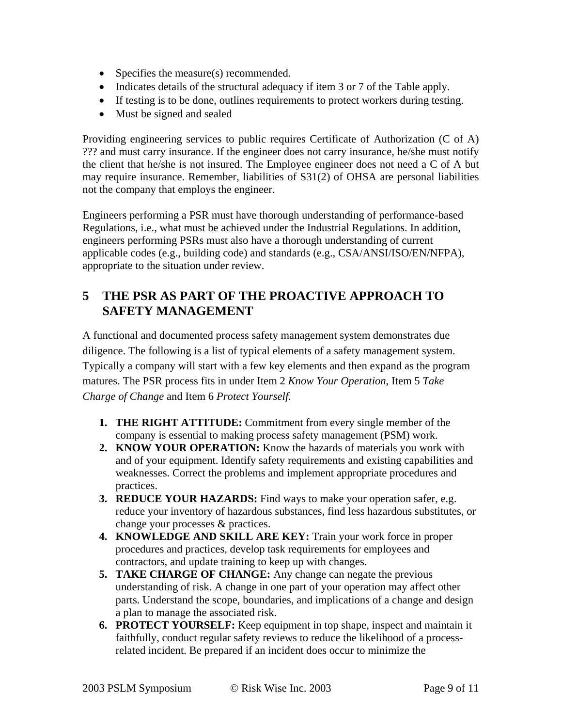- Specifies the measure(s) recommended.
- Indicates details of the structural adequacy if item 3 or 7 of the Table apply.
- If testing is to be done, outlines requirements to protect workers during testing.
- Must be signed and sealed

Providing engineering services to public requires Certificate of Authorization (C of A) ??? and must carry insurance. If the engineer does not carry insurance, he/she must notify the client that he/she is not insured. The Employee engineer does not need a C of A but may require insurance. Remember, liabilities of S31(2) of OHSA are personal liabilities not the company that employs the engineer.

Engineers performing a PSR must have thorough understanding of performance-based Regulations, i.e., what must be achieved under the Industrial Regulations. In addition, engineers performing PSRs must also have a thorough understanding of current applicable codes (e.g., building code) and standards (e.g., CSA/ANSI/ISO/EN/NFPA), appropriate to the situation under review.

### **5 THE PSR AS PART OF THE PROACTIVE APPROACH TO SAFETY MANAGEMENT**

A functional and documented process safety management system demonstrates due diligence. The following is a list of typical elements of a safety management system. Typically a company will start with a few key elements and then expand as the program matures. The PSR process fits in under Item 2 *Know Your Operation*, Item 5 *Take Charge of Change* and Item 6 *Protect Yourself.*

- **1. THE RIGHT ATTITUDE:** Commitment from every single member of the company is essential to making process safety management (PSM) work.
- **2. KNOW YOUR OPERATION:** Know the hazards of materials you work with and of your equipment. Identify safety requirements and existing capabilities and weaknesses. Correct the problems and implement appropriate procedures and practices.
- **3. REDUCE YOUR HAZARDS:** Find ways to make your operation safer, e.g. reduce your inventory of hazardous substances, find less hazardous substitutes, or change your processes & practices.
- **4. KNOWLEDGE AND SKILL ARE KEY:** Train your work force in proper procedures and practices, develop task requirements for employees and contractors, and update training to keep up with changes.
- **5. TAKE CHARGE OF CHANGE:** Any change can negate the previous understanding of risk. A change in one part of your operation may affect other parts. Understand the scope, boundaries, and implications of a change and design a plan to manage the associated risk.
- **6. PROTECT YOURSELF:** Keep equipment in top shape, inspect and maintain it faithfully, conduct regular safety reviews to reduce the likelihood of a processrelated incident. Be prepared if an incident does occur to minimize the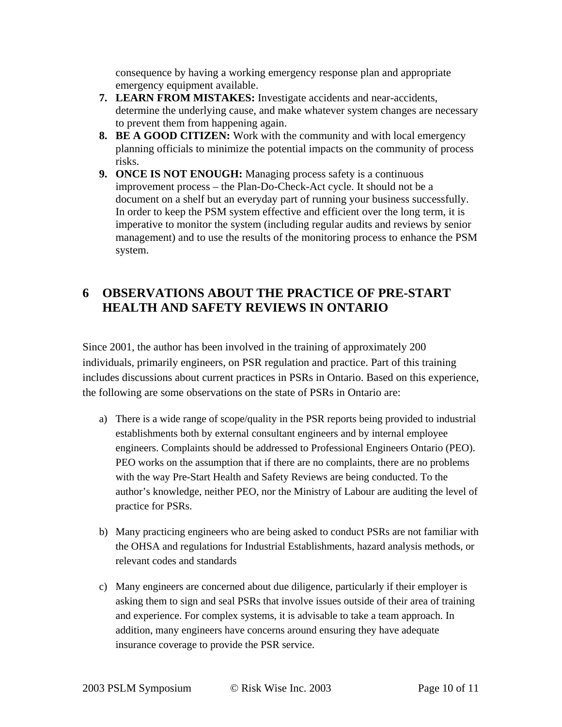consequence by having a working emergency response plan and appropriate emergency equipment available.

- **7. LEARN FROM MISTAKES:** Investigate accidents and near-accidents, determine the underlying cause, and make whatever system changes are necessary to prevent them from happening again.
- **8. BE A GOOD CITIZEN:** Work with the community and with local emergency planning officials to minimize the potential impacts on the community of process risks.
- **9. ONCE IS NOT ENOUGH:** Managing process safety is a continuous improvement process – the Plan-Do-Check-Act cycle. It should not be a document on a shelf but an everyday part of running your business successfully. In order to keep the PSM system effective and efficient over the long term, it is imperative to monitor the system (including regular audits and reviews by senior management) and to use the results of the monitoring process to enhance the PSM system.

## **6 OBSERVATIONS ABOUT THE PRACTICE OF PRE-START HEALTH AND SAFETY REVIEWS IN ONTARIO**

Since 2001, the author has been involved in the training of approximately 200 individuals, primarily engineers, on PSR regulation and practice. Part of this training includes discussions about current practices in PSRs in Ontario. Based on this experience, the following are some observations on the state of PSRs in Ontario are:

- a) There is a wide range of scope/quality in the PSR reports being provided to industrial establishments both by external consultant engineers and by internal employee engineers. Complaints should be addressed to Professional Engineers Ontario (PEO). PEO works on the assumption that if there are no complaints, there are no problems with the way Pre-Start Health and Safety Reviews are being conducted. To the author's knowledge, neither PEO, nor the Ministry of Labour are auditing the level of practice for PSRs.
- b) Many practicing engineers who are being asked to conduct PSRs are not familiar with the OHSA and regulations for Industrial Establishments, hazard analysis methods, or relevant codes and standards
- c) Many engineers are concerned about due diligence, particularly if their employer is asking them to sign and seal PSRs that involve issues outside of their area of training and experience. For complex systems, it is advisable to take a team approach. In addition, many engineers have concerns around ensuring they have adequate insurance coverage to provide the PSR service.